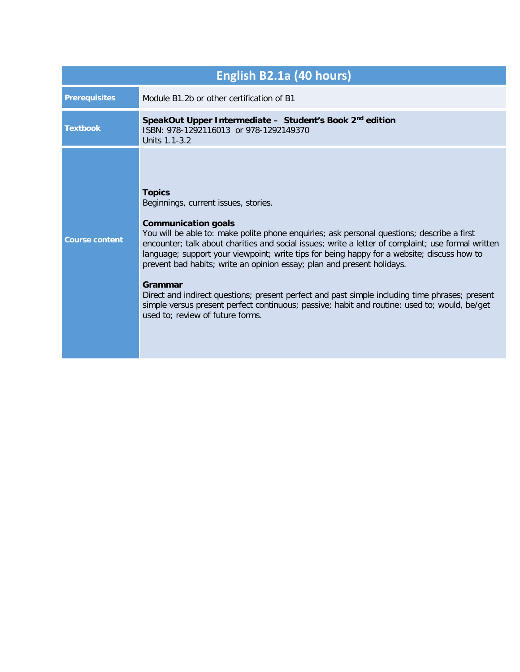| English B2.1a (40 hours) |                                                                                                                                                                                                                                                                                                                                                                                                                                                                                                                                                                                                                                                                                                                  |
|--------------------------|------------------------------------------------------------------------------------------------------------------------------------------------------------------------------------------------------------------------------------------------------------------------------------------------------------------------------------------------------------------------------------------------------------------------------------------------------------------------------------------------------------------------------------------------------------------------------------------------------------------------------------------------------------------------------------------------------------------|
| <b>Prerequisites</b>     | Module B1.2b or other certification of B1                                                                                                                                                                                                                                                                                                                                                                                                                                                                                                                                                                                                                                                                        |
| <b>Textbook</b>          | SpeakOut Upper Intermediate - Student's Book 2 <sup>nd</sup> edition<br>ISBN: 978-1292116013 or 978-1292149370<br>Units 1.1-3.2                                                                                                                                                                                                                                                                                                                                                                                                                                                                                                                                                                                  |
| <b>Course content</b>    | <b>Topics</b><br>Beginnings, current issues, stories.<br><b>Communication goals</b><br>You will be able to: make polite phone enquiries; ask personal questions; describe a first<br>encounter; talk about charities and social issues; write a letter of complaint; use formal written<br>language; support your viewpoint; write tips for being happy for a website; discuss how to<br>prevent bad habits; write an opinion essay; plan and present holidays.<br>Grammar<br>Direct and indirect questions; present perfect and past simple including time phrases; present<br>simple versus present perfect continuous; passive; habit and routine: used to; would, be/get<br>used to; review of future forms. |